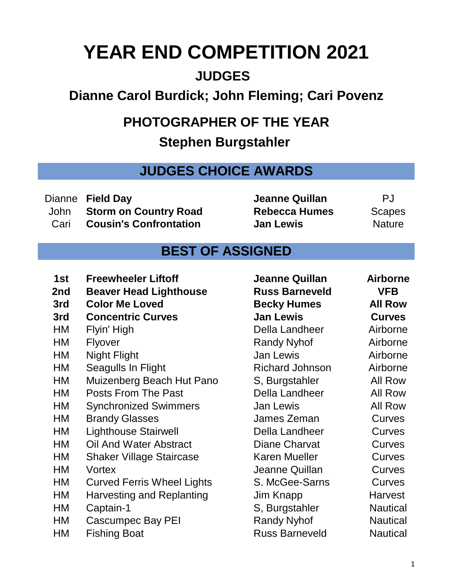## **YEAR END COMPETITION 2021**

## **JUDGES**

## **Dianne Carol Burdick; John Fleming; Cari Povenz**

## **PHOTOGRAPHER OF THE YEAR**

**Stephen Burgstahler** 

**JUDGES CHOICE AWARDS**

Dianne **Field Day Jeanne Quillan** PJ John **Storm on Country Road Rebecca Humes** Scapes Cari **Cousin's Confrontation Jan Lewis** Nature

## **BEST OF ASSIGNED**

- **1st Freewheeler Liftoff Jeanne Quillan Airborne**
- **2nd Beaver Head Lighthouse Russ Barneveld VFB**
- **3rd Color Me Loved Becky Humes All Row**
- **3rd Concentric Curves Jan Lewis Curves**
- 
- 
- 
- HM Seagulls In Flight Richard Johnson Airborne
- HM Muizenberg Beach Hut Pano S, Burgstahler All Row
- HM Posts From The Past Della Landheer All Row
- HM Synchronized Swimmers Jan Lewis All Row
- HM Brandy Glasses James Zeman Curves
- HM Lighthouse Stairwell Della Landheer Curves
- HM Oil And Water Abstract Diane Charvat Curves
- HM Shaker Village Staircase Karen Mueller Curves
- 
- HM Curved Ferris Wheel Lights S. McGee-Sarns Curves
- HM Harvesting and Replanting Jim Knapp Harvest
- 
- HM Cascumpec Bay PEI Randy Nyhof Nautical
- 

HM Flyin' High Della Landheer Airborne HM Flyover **Randy Nyhof** Airborne HM Night Flight **Internal Communist Communist Communist Communist Communist Communist Communist Communist Communist Communist Communist Communist Communist Communist Communist Communist Communist Communist Communist Commun** HM Vortex Jeanne Quillan Curves HM Captain-1 S, Burgstahler Nautical HM Fishing Boat **Russ Barneveld** Nautical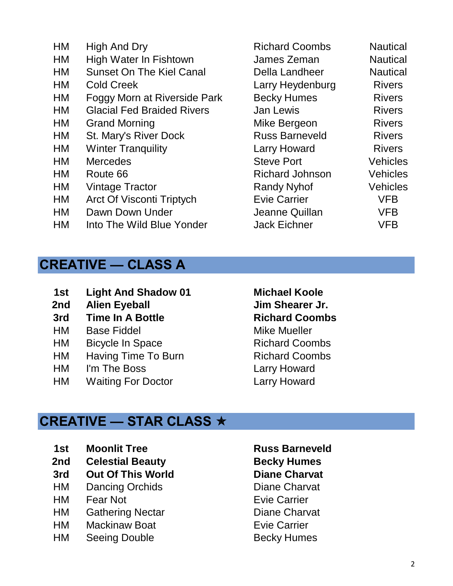- HM High And Dry **Richard Coombs** Nautical HM High Water In Fishtown **James Zeman** Nautical HM Sunset On The Kiel Canal Della Landheer Nautical HM Cold Creek Larry Heydenburg Rivers HM Foggy Morn at Riverside Park Becky Humes Rivers HM Glacial Fed Braided Rivers Jan Lewis Clacial Fed Braided Rivers HM Grand Morning **Mike Bergeon** Rivers HM St. Mary's River Dock Russ Barneveld Rivers HM Winter Tranquility **Larry Howard** Rivers HM Mercedes Steve Port Vehicles HM Route 66 Richard Johnson Vehicles HM Vintage Tractor **Randy Nyhof** Vehicles HM Arct Of Visconti Triptych Evie Carrier VFB HM Dawn Down Under Same Quillan Aleanne Quillan VFB HM Into The Wild Blue Yonder Jack Eichner VFB
- **CREATIVE CLASS A**
	- **1st Light And Shadow 01 Michael Koole**
	- **2nd Alien Eyeball Jim Shearer Jr.**
	- **3rd Time In A Bottle Richard Coombs**
	- HM Base Fiddel Mike Mueller
	- HM Bicycle In Space Richard Coombs
	- HM Having Time To Burn Richard Coombs
	- HM I'm The Boss Larry Howard
	- HM Waiting For Doctor Larry Howard

#### **CREATIVE — STAR CLASS**

- **1st Moonlit Tree Russ Barneveld**
- **2nd Celestial Beauty Becky Humes**
- **3rd Out Of This World Diane Charvat**
- HM Dancing Orchids Diane Charvat
- **HM** Fear Not **Existence** Evie Carrier
- HM Gathering Nectar **Diane Charvat**
- HM Mackinaw Boat **Evie Carrier**
- HM Seeing Double Becky Humes
-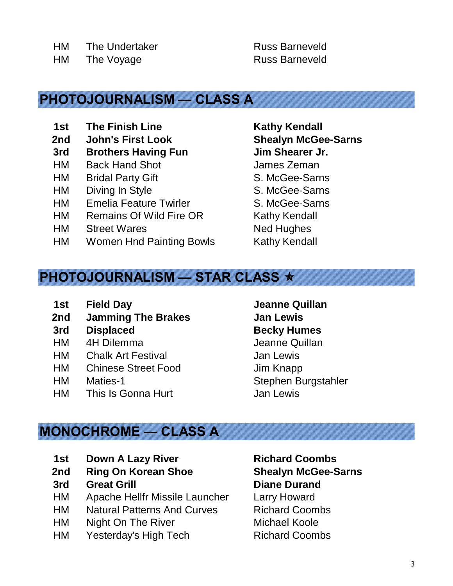HM The Voyage Russ Barneveld

#### **PHOTOJOURNALISM — CLASS A**

- **1st The Finish Line <b>Kathy Kendall**
- **2nd John's First Look**
- **3rd Brothers Having Fun Jim Shearer Jr.**
- HM Back Hand Shot **James Zeman**
- HM Bridal Party Gift S. McGee-Sarns
- HM Diving In Style S. McGee-Sarns
- HM Emelia Feature Twirler S. McGee-Sarns
- HM Remains Of Wild Fire OR Kathy Kendall
- HM Street Wares Ned Hughes
- HM Women Hnd Painting Bowls Kathy Kendall

**Shealyn McGee-Sarns**

## **PHOTOJOURNALISM — STAR CLASS**

- **1st Field Day Jeanne Quillan**
- **2nd Jamming The Brakes Jan Lewis**
- **3rd Displaced Becky Humes**
- HM 4H Dilemma Jeanne Quillan
- HM Chalk Art Festival **Jan Lewis**
- HM Chinese Street Food Jim Knapp
- 
- HM This Is Gonna Hurt **Information** Jan Lewis

## **MONOCHROME — CLASS A**

- **1st Down A Lazy River Richard Coombs**
- **2nd Ring On Korean Shoe**
- **3rd Great Grill Diane Durand**
- HM Apache Hellfr Missile Launcher Larry Howard
- HM Natural Patterns And Curves Richard Coombs
- HM Night On The River **Michael Koole**
- HM Yesterday's High Tech Richard Coombs

HM Maties-1 Stephen Burgstahler

**Shealyn McGee-Sarns**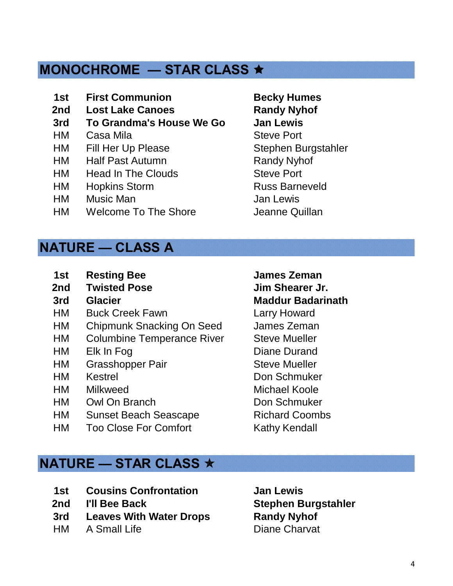## **MONOCHROME — STAR CLASS**

- **1st First Communion Becky Humes**
- **2nd Lost Lake Canoes Randy Nyhof**
- **3rd To Grandma's House We Go Jan Lewis**
- HM Casa Mila Steve Port
- HM Fill Her Up Please Stephen Burgstahler
- HM Half Past Autumn Randy Nyhof
- HM Head In The Clouds Steve Port
- HM Hopkins Storm Russ Barneveld
- HM Music Man Jan Lewis
- HM Welcome To The Shore **Shore** Jeanne Quillan

#### **NATURE — CLASS A**

- **1st Resting Bee James Zeman**
- **2nd Twisted Pose Jim Shearer Jr.**
- 
- HM Buck Creek Fawn Larry Howard
- HM Chipmunk Snacking On Seed James Zeman
- HM Columbine Temperance River Steve Mueller
- HM Elk In Fog Diane Durand
- HM Grasshopper Pair Steve Mueller
- 
- HM Milkweed Michael Koole
- HM Owl On Branch Don Schmuker
- HM Sunset Beach Seascape Richard Coombs
- HM Too Close For Comfort Kathy Kendall

**3rd Glacier Maddur Badarinath**

HM Kestrel Don Schmuker

#### **NATURE — STAR CLASS**

- **1st Cousins Confrontation Jan Lewis**
- 
- **3rd Leaves With Water Drops Randy Nyhof**
- HM A Small Life **Diane Charvat**

**2nd I'll Bee Back Stephen Burgstahler**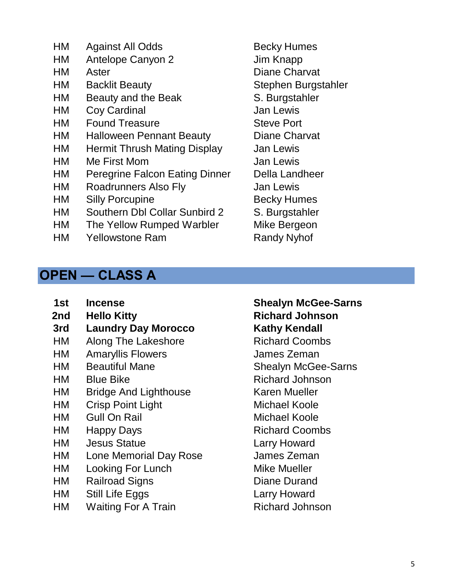- HM Against All Odds Becky Humes
- HM Antelope Canyon 2 Jim Knapp
- 
- HM Backlit Beauty Stephen Burgstahler
- HM Beauty and the Beak S. Burgstahler
- HM Coy Cardinal Controller Cover Cardinal Cover Cardinal Countries Cover Countries Countries Countries Countries
- HM Found Treasure Steve Port
- HM Halloween Pennant Beauty Diane Charvat
- HM Hermit Thrush Mating Display Jan Lewis
- HM Me First Mom Sand Lewis
- HM Peregrine Falcon Eating Dinner Della Landheer
- HM Roadrunners Also Fly Jan Lewis
- HM Silly Porcupine **Becky Humes**
- HM Southern Dbl Collar Sunbird 2 S. Burgstahler
- HM The Yellow Rumped Warbler Mike Bergeon
- HM Yellowstone Ram Randy Nyhof
- HM Aster **Diane Charvat**

#### **OPEN — CLASS A**

- **1st Incense**
- 
- **3rd Laundry Day Morocco Kathy Kendall**
- HM Along The Lakeshore Richard Coombs
- HM Amaryllis Flowers James Zeman
- HM Beautiful Mane
- 
- HM Bridge And Lighthouse Karen Mueller
- HM Crisp Point Light Michael Koole
- HM Gull On Rail Michael Koole
- HM Happy Days Richard Coombs
- HM Jesus Statue Larry Howard
- HM Lone Memorial Day Rose James Zeman
- HM Looking For Lunch Mike Mueller
- HM Railroad Signs Diane Durand
- HM Still Life Eggs Larry Howard
- HM Waiting For A Train Richard Johnson

## **2nd Hello Kitty Richard Johnson Shealyn McGee-Sarns**

HM Blue Bike Richard Johnson Shealyn McGee-Sarns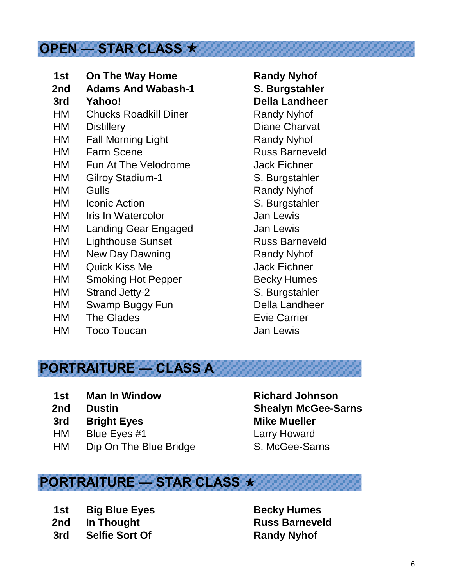#### **OPEN — STAR CLASS**

| 1st  | <b>On The Way Home</b>       |
|------|------------------------------|
| 2nd  | <b>Adams And Wabash-1</b>    |
| 3rd  | Yahoo!                       |
| HM   | <b>Chucks Roadkill Diner</b> |
| HM   | <b>Distillery</b>            |
| НM   | <b>Fall Morning Light</b>    |
| НM   | <b>Farm Scene</b>            |
| НM   | <b>Fun At The Velodrome</b>  |
| НM   | <b>Gilroy Stadium-1</b>      |
| HM   | Gulls                        |
| HM   | <b>Iconic Action</b>         |
| HM l | Iris In Watercolor           |
| HM   | <b>Landing Gear Engaged</b>  |
| НM   | <b>Lighthouse Sunset</b>     |
| НM   | <b>New Day Dawning</b>       |
| НM   | Quick Kiss Me                |
| НM   | <b>Smoking Hot Pepper</b>    |
| НM   | <b>Strand Jetty-2</b>        |
| НM   | Swamp Buggy Fun              |
| HM   | <b>The Glades</b>            |

HM Toco Toucan Jan Lewis

**Randy Nyhof 2. Burgstahler 3rd Yahoo! Della Landheer Randy Nyhof** Diane Charvat **Randy Nyhof** Russ Barneveld Jack Eichner S. Burgstahler Randy Nyhof S. Burgstahler Jan Lewis Jan Lewis Russ Barneveld **Randy Nyhof** Jack Eichner **Becky Humes** S. Burgstahler Della Landheer Evie Carrier

#### **PORTRAITURE — CLASS A**

- **1st Man In Window Richard Johnson**
- **2nd Dustin**
- **3rd Bright Eyes Mike Mueller**
- HM Blue Eyes #1 Larry Howard
- HM Dip On The Blue Bridge

# S. McGee-Sarns **Shealyn McGee-Sarns**

#### **PORTRAITURE — STAR CLASS**

- **1st Big Blue Eyes Becky Humes**
- **2nd** In Thought **Russ Barneveld**
- **3rd Selfie Sort Of Randy Nyhof**